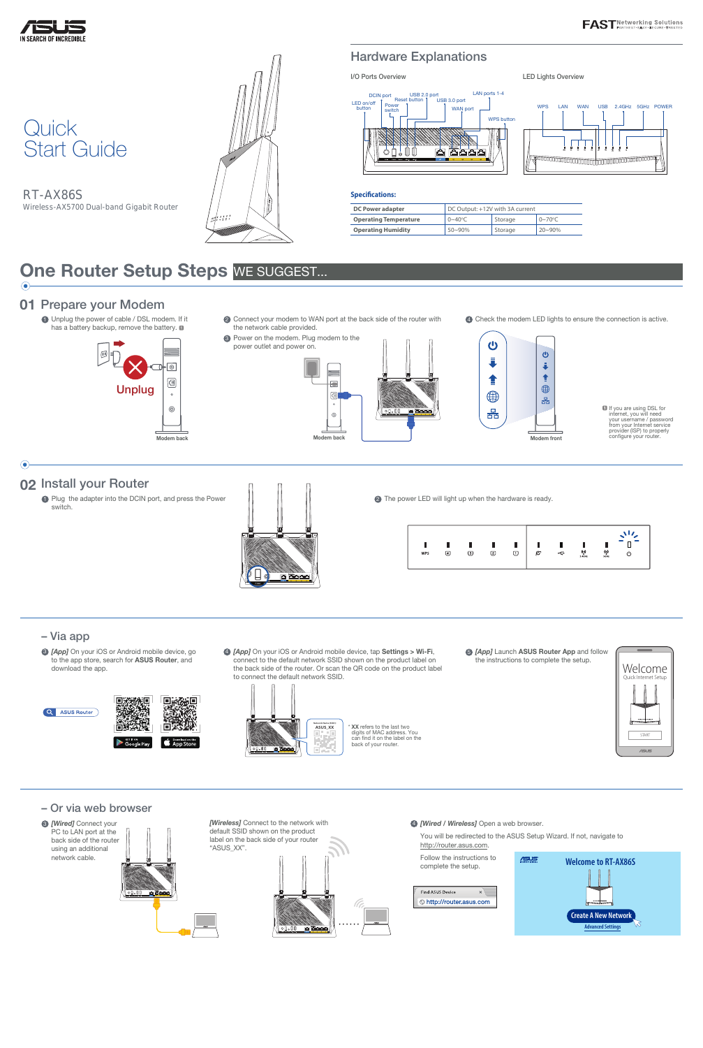RT-AX86S Wireless-AX5700 Dual-band Gigabit Router







## Hardware Explanations



1 Unplug the power of cable / DSL modem. If it has a battery backup, remove the battery.  $\blacksquare$ 

| <b>DC Power adapter</b>      | DC Output: +12V with 3A current |         |                       |  |  |
|------------------------------|---------------------------------|---------|-----------------------|--|--|
| <b>Operating Temperature</b> | $0 \sim 40^{\circ}$ C           | Storage | $0 \sim 70^{\circ}$ C |  |  |
| <b>Operating Humidity</b>    | $50 - 90%$                      | Storage | $20 - 90\%$           |  |  |

# One Router Setup Steps WE SUGGEST...

**6 [App] Launch ASUS Router App and follow** the instructions to complete the setup.

#### **Specifications:**

**1** Plug the adapter into the DCIN port, and press the Power switch.



2 The power LED will light up when the hardware is ready.



### 01 Prepare your Modem

**2** Connect your modem to WAN port at the back side of the router with the network cable provided.

> **If** you are using DSL for internet, you will need your username / password from your Internet service provider (ISP) to properly

 $\odot$ 



# 02 Install your Router



4 Check the modem LED lights to ensure the connection is active.

- 
- **3 [App]** On your iOS or Android mobile device, go to the app store, search for ASUS Router, and download the app.





### – Or via web browser



4 *[Wired / Wireless]* Open a web browser.

You will be redirected to the ASUS Setup Wizard. If not, navigate to http://router.asus.com.

Follow the instructions to complete the setup.





4 *[App]* On your iOS or Android mobile device, tap Settings > Wi-Fi, connect to the default network SSID shown on the product label on the back side of the router. Or scan the QR code on the product label to connect the default network SSID.